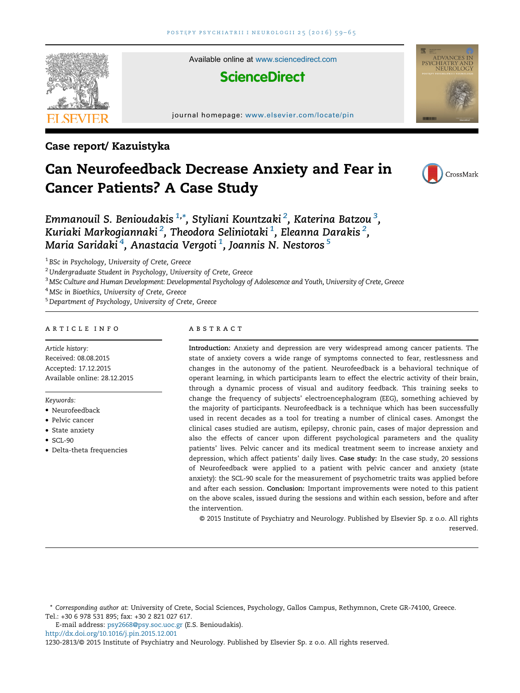

Case report/ Kazuistyka

# Can Neurofeedback Decrease Anxiety and Fear in Cancer Patients? A Case Study



CHIATRY AND<br>NEUROLOGY

Emmanouil S. Benioudakis  $^{1,\ast}$ , Styliani Kountzaki  $^2$ , Katerina Batzou  $^3$ , Kuriaki Markogiannaki $^2$ , Theodora Seliniotaki $^1$ , Eleanna Darakis $^2$ , Maria Saridaki $^4$ , Anastacia Vergoti $^1$ , Joannis N. Nestoros  $^5$ 

<sup>1</sup> BSc in Psychology, University of Crete, Greece

<sup>2</sup> Undergraduate Student in Psychology, University of Crete, Greece

<sup>3</sup> MSc Culture and Human Development: Developmental Psychology of Adolescence and Youth, University of Crete, Greece

<sup>4</sup> MSc in Bioethics, University of Crete, Greece

<sup>5</sup> Department of Psychology, University of Crete, Greece

## a r t i c l e i n f o

Article history: Received: 08.08.2015 Accepted: 17.12.2015 Available online: 28.12.2015

#### Keywords:

- Neurofeedback
- Pelvic cancer
- State anxiety
- $\bullet$  SCL-90
- Delta-theta frequencies

### a b s t r a c t

Introduction: Anxiety and depression are very widespread among cancer patients. The state of anxiety covers a wide range of symptoms connected to fear, restlessness and changes in the autonomy of the patient. Neurofeedback is a behavioral technique of operant learning, in which participants learn to effect the electric activity of their brain, through a dynamic process of visual and auditory feedback. This training seeks to change the frequency of subjects' electroencephalogram (EEG), something achieved by the majority of participants. Neurofeedback is a technique which has been successfully used in recent decades as a tool for treating a number of clinical cases. Amongst the clinical cases studied are autism, epilepsy, chronic pain, cases of major depression and also the effects of cancer upon different psychological parameters and the quality patients' lives. Pelvic cancer and its medical treatment seem to increase anxiety and depression, which affect patients' daily lives. Case study: In the case study, 20 sessions of Neurofeedback were applied to a patient with pelvic cancer and anxiety (state anxiety): the SCL-90 scale for the measurement of psychometric traits was applied before and after each session. Conclusion: Important improvements were noted to this patient on the above scales, issued during the sessions and within each session, before and after the intervention.

© 2015 Institute of Psychiatry and Neurology. Published by Elsevier Sp. z o.o. All rights reserved.

E-mail address: [psy2668@psy.soc.uoc.gr](mailto:psy2668@psy.soc.uoc.gr) (E.S. Benioudakis).

<http://dx.doi.org/10.1016/j.pin.2015.12.001>

1230-2813/© 2015 Institute of Psychiatry and Neurology. Published by Elsevier Sp. z o.o. All rights reserved.

<sup>\*</sup> Corresponding author at: University of Crete, Social Sciences, Psychology, Gallos Campus, Rethymnon, Crete GR-74100, Greece. Tel.: +30 6 978 531 895; fax: +30 2 821 027 617.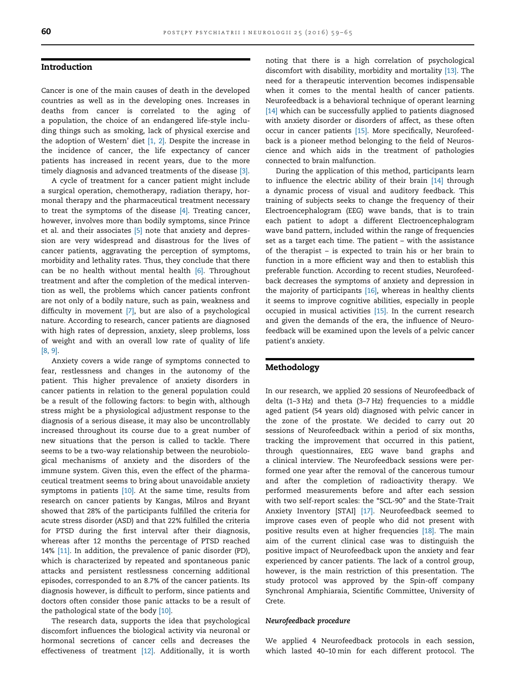#### Introduction

Cancer is one of the main causes of death in the developed countries as well as in the developing ones. Increases in deaths from cancer is correlated to the aging of a population, the choice of an endangered life-style including things such as smoking, lack of physical exercise and the adoption of Western' diet [\[1,](#page--1-0) 2]. Despite the increase in the incidence of cancer, the life expectancy of cancer patients has increased in recent years, due to the more timely diagnosis and advanced treatments of the disease [\[3\].](#page--1-0)

A cycle of treatment for a cancer patient might include a surgical operation, chemotherapy, radiation therapy, hormonal therapy and the pharmaceutical treatment necessary to treat the symptoms of the disease [\[4\]](#page--1-0). Treating cancer, however, involves more than bodily symptoms, since Prince et al. and their associates [\[5\]](#page--1-0) note that anxiety and depression are very widespread and disastrous for the lives of cancer patients, aggravating the perception of symptoms, morbidity and lethality rates. Thus, they conclude that there can be no health without mental health [\[6\].](#page--1-0) Throughout treatment and after the completion of the medical intervention as well, the problems which cancer patients confront are not only of a bodily nature, such as pain, weakness and difficulty in movement [\[7\],](#page--1-0) but are also of a psychological nature. According to research, cancer patients are diagnosed with high rates of depression, anxiety, sleep problems, loss of weight and with an overall low rate of quality of life [\[8,](#page--1-0) 9].

Anxiety covers a wide range of symptoms connected to fear, restlessness and changes in the autonomy of the patient. This higher prevalence of anxiety disorders in cancer patients in relation to the general population could be a result of the following factors: to begin with, although stress might be a physiological adjustment response to the diagnosis of a serious disease, it may also be uncontrollably increased throughout its course due to a great number of new situations that the person is called to tackle. There seems to be a two-way relationship between the neurobiological mechanisms of anxiety and the disorders of the immune system. Given this, even the effect of the pharmaceutical treatment seems to bring about unavoidable anxiety symptoms in patients [\[10\]](#page--1-0). At the same time, results from research on cancer patients by Kangas, Milros and Bryant showed that 28% of the participants fulfilled the criteria for acute stress disorder (ASD) and that 22% fulfilled the criteria for PTSD during the first interval after their diagnosis, whereas after 12 months the percentage of PTSD reached 14% [\[11\].](#page--1-0) In addition, the prevalence of panic disorder (PD), which is characterized by repeated and spontaneous panic attacks and persistent restlessness concerning additional episodes, corresponded to an 8.7% of the cancer patients. Its diagnosis however, is difficult to perform, since patients and doctors often consider those panic attacks to be a result of the pathological state of the body [\[10\].](#page--1-0)

The research data, supports the idea that psychological discomfort influences the biological activity via neuronal or hormonal secretions of cancer cells and decreases the effectiveness of treatment [\[12\].](#page--1-0) Additionally, it is worth noting that there is a high correlation of psychological discomfort with disability, morbidity and mortality [\[13\]](#page--1-0). The need for a therapeutic intervention becomes indispensable when it comes to the mental health of cancer patients. Neurofeedback is a behavioral technique of operant learning [\[14\]](#page--1-0) which can be successfully applied to patients diagnosed with anxiety disorder or disorders of affect, as these often occur in cancer patients [\[15\].](#page--1-0) More specifically, Neurofeedback is a pioneer method belonging to the field of Neuroscience and which aids in the treatment of pathologies connected to brain malfunction.

During the application of this method, participants learn to influence the electric ability of their brain [\[14\]](#page--1-0) through a dynamic process of visual and auditory feedback. This training of subjects seeks to change the frequency of their Electroencephalogram (EEG) wave bands, that is to train each patient to adopt a different Electroencephalogram wave band pattern, included within the range of frequencies set as a target each time. The patient – with the assistance of the therapist – is expected to train his or her brain to function in a more efficient way and then to establish this preferable function. According to recent studies, Neurofeedback decreases the symptoms of anxiety and depression in the majority of participants [\[16\],](#page--1-0) whereas in healthy clients it seems to improve cognitive abilities, especially in people occupied in musical activities [\[15\].](#page--1-0) In the current research and given the demands of the era, the influence of Neurofeedback will be examined upon the levels of a pelvic cancer patient's anxiety.

#### Methodology

In our research, we applied 20 sessions of Neurofeedback of delta (1–3 Hz) and theta (3–7 Hz) frequencies to a middle aged patient (54 years old) diagnosed with pelvic cancer in the zone of the prostate. We decided to carry out 20 sessions of Neurofeedback within a period of six months, tracking the improvement that occurred in this patient, through questionnaires, EEG wave band graphs and a clinical interview. The Neurofeedback sessions were performed one year after the removal of the cancerous tumour and after the completion of radioactivity therapy. We performed measurements before and after each session with two self-report scales: the "SCL-90" and the State-Trait Anxiety Inventory [STAI] [\[17\]](#page--1-0). Neurofeedback seemed to improve cases even of people who did not present with positive results even at higher frequencies [\[18\]](#page--1-0). The main aim of the current clinical case was to distinguish the positive impact of Neurofeedback upon the anxiety and fear experienced by cancer patients. The lack of a control group, however, is the main restriction of this presentation. The study protocol was approved by the Spin-off company Synchronal Amphiaraia, Scientific Committee, University of Crete.

#### Neurofeedback procedure

We applied 4 Neurofeedback protocols in each session, which lasted 40–10 min for each different protocol. The